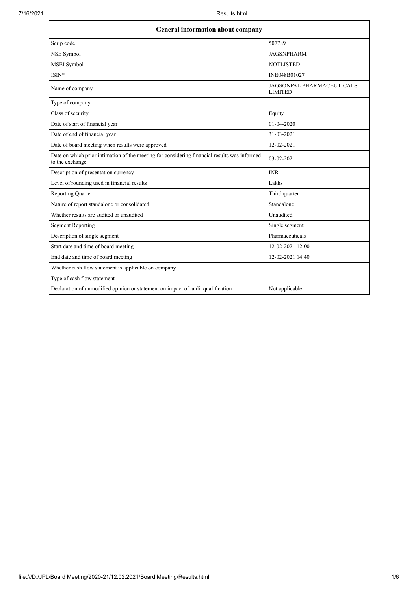$\blacksquare$ 

| <b>General information about company</b>                                                                        |                                                    |  |
|-----------------------------------------------------------------------------------------------------------------|----------------------------------------------------|--|
| Scrip code                                                                                                      | 507789                                             |  |
| NSE Symbol                                                                                                      | <b>JAGSNPHARM</b>                                  |  |
| MSEI Symbol                                                                                                     | <b>NOTLISTED</b>                                   |  |
| ISIN*                                                                                                           | INE048B01027                                       |  |
| Name of company                                                                                                 | <b>JAGSONPAL PHARMACEUTICALS</b><br><b>LIMITED</b> |  |
| Type of company                                                                                                 |                                                    |  |
| Class of security                                                                                               | Equity                                             |  |
| Date of start of financial year                                                                                 | 01-04-2020                                         |  |
| Date of end of financial year                                                                                   | 31-03-2021                                         |  |
| Date of board meeting when results were approved                                                                | 12-02-2021                                         |  |
| Date on which prior intimation of the meeting for considering financial results was informed<br>to the exchange | 03-02-2021                                         |  |
| Description of presentation currency                                                                            | <b>INR</b>                                         |  |
| Level of rounding used in financial results                                                                     | Lakhs                                              |  |
| <b>Reporting Quarter</b>                                                                                        | Third quarter                                      |  |
| Nature of report standalone or consolidated                                                                     | Standalone                                         |  |
| Whether results are audited or unaudited                                                                        | Unaudited                                          |  |
| <b>Segment Reporting</b>                                                                                        | Single segment                                     |  |
| Description of single segment                                                                                   | Pharmaceuticals                                    |  |
| Start date and time of board meeting                                                                            | 12-02-2021 12:00                                   |  |
| End date and time of board meeting                                                                              | 12-02-2021 14:40                                   |  |
| Whether cash flow statement is applicable on company                                                            |                                                    |  |
| Type of cash flow statement                                                                                     |                                                    |  |
| Declaration of unmodified opinion or statement on impact of audit qualification                                 | Not applicable                                     |  |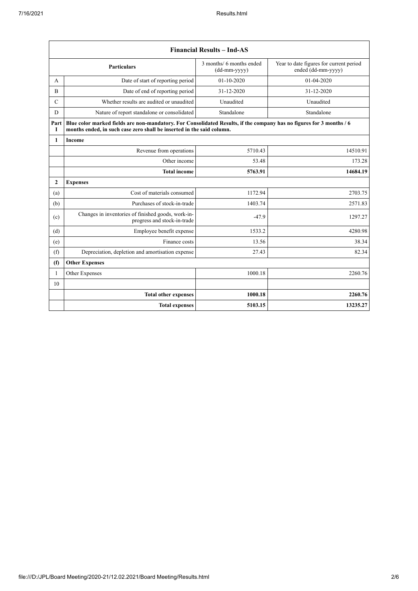|               |                                                                                                                                                                                               | <b>Financial Results - Ind-AS</b>        |                                                               |  |
|---------------|-----------------------------------------------------------------------------------------------------------------------------------------------------------------------------------------------|------------------------------------------|---------------------------------------------------------------|--|
|               | <b>Particulars</b>                                                                                                                                                                            | 3 months/ 6 months ended<br>(dd-mm-yyyy) | Year to date figures for current period<br>ended (dd-mm-yyyy) |  |
| А             | Date of start of reporting period                                                                                                                                                             | $01 - 10 - 2020$                         | 01-04-2020                                                    |  |
| B             | Date of end of reporting period                                                                                                                                                               | 31-12-2020                               | 31-12-2020                                                    |  |
| $\mathcal{C}$ | Whether results are audited or unaudited                                                                                                                                                      | Unaudited                                | Unaudited                                                     |  |
| D             | Nature of report standalone or consolidated                                                                                                                                                   | Standalone                               | Standalone                                                    |  |
| Part<br>I     | Blue color marked fields are non-mandatory. For Consolidated Results, if the company has no figures for 3 months / 6<br>months ended, in such case zero shall be inserted in the said column. |                                          |                                                               |  |
| $\mathbf{1}$  | <b>Income</b>                                                                                                                                                                                 |                                          |                                                               |  |
|               | Revenue from operations                                                                                                                                                                       | 5710.43                                  | 14510.91                                                      |  |
|               | Other income                                                                                                                                                                                  | 53.48                                    | 173.28                                                        |  |
|               | <b>Total income</b>                                                                                                                                                                           | 5763.91                                  | 14684.19                                                      |  |
| $\mathbf{2}$  | <b>Expenses</b>                                                                                                                                                                               |                                          |                                                               |  |
| (a)           | Cost of materials consumed                                                                                                                                                                    | 1172.94                                  | 2703.75                                                       |  |
| (b)           | Purchases of stock-in-trade                                                                                                                                                                   | 1403.74                                  | 2571.83                                                       |  |
| (c)           | Changes in inventories of finished goods, work-in-<br>progress and stock-in-trade                                                                                                             | $-47.9$                                  | 1297.27                                                       |  |
| (d)           | Employee benefit expense                                                                                                                                                                      | 1533.2                                   | 4280.98                                                       |  |
| (e)           | Finance costs                                                                                                                                                                                 | 13.56                                    | 38.34                                                         |  |
| (f)           | Depreciation, depletion and amortisation expense                                                                                                                                              | 27.43                                    | 82.34                                                         |  |
| (f)           | <b>Other Expenses</b>                                                                                                                                                                         |                                          |                                                               |  |
| 1             | Other Expenses                                                                                                                                                                                | 1000.18                                  | 2260.76                                                       |  |
| 10            |                                                                                                                                                                                               |                                          |                                                               |  |
|               | <b>Total other expenses</b>                                                                                                                                                                   | 1000.18                                  | 2260.76                                                       |  |
|               | <b>Total expenses</b>                                                                                                                                                                         | 5103.15                                  | 13235.27                                                      |  |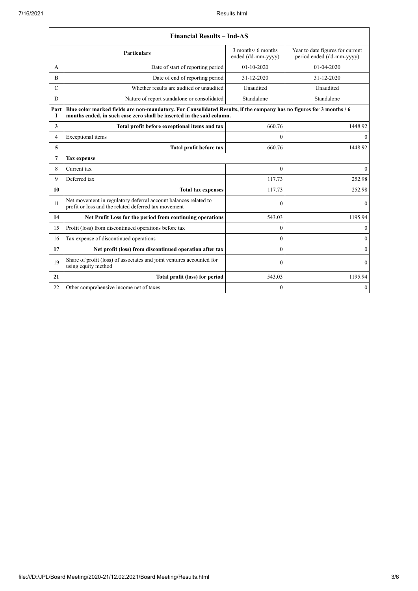| <b>Financial Results - Ind-AS</b> |                                                                                                                                                                                               |                                          |                                                               |
|-----------------------------------|-----------------------------------------------------------------------------------------------------------------------------------------------------------------------------------------------|------------------------------------------|---------------------------------------------------------------|
|                                   | <b>Particulars</b>                                                                                                                                                                            | 3 months/ 6 months<br>ended (dd-mm-yyyy) | Year to date figures for current<br>period ended (dd-mm-yyyy) |
| A                                 | Date of start of reporting period                                                                                                                                                             | $01 - 10 - 2020$                         | 01-04-2020                                                    |
| $\overline{B}$                    | Date of end of reporting period                                                                                                                                                               | 31-12-2020                               | 31-12-2020                                                    |
| $\mathcal{C}$                     | Whether results are audited or unaudited                                                                                                                                                      | Unaudited                                | Unaudited                                                     |
| D                                 | Nature of report standalone or consolidated                                                                                                                                                   | Standalone                               | Standalone                                                    |
| Part<br>1                         | Blue color marked fields are non-mandatory. For Consolidated Results, if the company has no figures for 3 months / 6<br>months ended, in such case zero shall be inserted in the said column. |                                          |                                                               |
| 3                                 | Total profit before exceptional items and tax                                                                                                                                                 | 660.76                                   | 1448.92                                                       |
| 4                                 | Exceptional items                                                                                                                                                                             | $\mathbf{0}$                             | $\mathbf{0}$                                                  |
| 5                                 | Total profit before tax                                                                                                                                                                       | 660.76                                   | 1448.92                                                       |
| 7                                 | <b>Tax expense</b>                                                                                                                                                                            |                                          |                                                               |
| 8                                 | Current tax                                                                                                                                                                                   | $\theta$                                 | $\mathbf{0}$                                                  |
| 9                                 | Deferred tax                                                                                                                                                                                  | 117.73                                   | 252.98                                                        |
| 10                                | <b>Total tax expenses</b>                                                                                                                                                                     | 117.73                                   | 252.98                                                        |
| 11                                | Net movement in regulatory deferral account balances related to<br>profit or loss and the related deferred tax movement                                                                       | $\mathbf{0}$                             | $\mathbf{0}$                                                  |
| 14                                | Net Profit Loss for the period from continuing operations                                                                                                                                     | 543.03                                   | 1195.94                                                       |
| 15                                | Profit (loss) from discontinued operations before tax                                                                                                                                         | $\theta$                                 | $\mathbf{0}$                                                  |
| 16                                | Tax expense of discontinued operations                                                                                                                                                        | $\theta$                                 | $\boldsymbol{0}$                                              |
| 17                                | Net profit (loss) from discontinued operation after tax                                                                                                                                       | $\theta$                                 | $\theta$                                                      |
| 19                                | Share of profit (loss) of associates and joint ventures accounted for<br>using equity method                                                                                                  | $\mathbf{0}$                             | $\mathbf{0}$                                                  |
| 21                                | Total profit (loss) for period                                                                                                                                                                | 543.03                                   | 1195.94                                                       |
| 22                                | Other comprehensive income net of taxes                                                                                                                                                       | $\mathbf{0}$                             | $\overline{0}$                                                |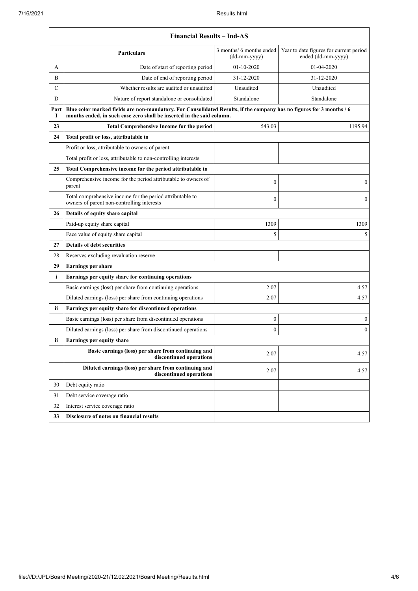|              | <b>Financial Results - Ind-AS</b>                                                                                                                                                             |                                          |                                                               |  |
|--------------|-----------------------------------------------------------------------------------------------------------------------------------------------------------------------------------------------|------------------------------------------|---------------------------------------------------------------|--|
|              | <b>Particulars</b>                                                                                                                                                                            | 3 months/ 6 months ended<br>(dd-mm-yyyy) | Year to date figures for current period<br>ended (dd-mm-yyyy) |  |
| А            | Date of start of reporting period                                                                                                                                                             | $01-10-2020$                             | 01-04-2020                                                    |  |
| B            | Date of end of reporting period                                                                                                                                                               | 31-12-2020                               | 31-12-2020                                                    |  |
| $\mathsf{C}$ | Whether results are audited or unaudited                                                                                                                                                      | Unaudited                                | Unaudited                                                     |  |
| D            | Nature of report standalone or consolidated                                                                                                                                                   | Standalone                               | Standalone                                                    |  |
| Part<br>1    | Blue color marked fields are non-mandatory. For Consolidated Results, if the company has no figures for 3 months / 6<br>months ended, in such case zero shall be inserted in the said column. |                                          |                                                               |  |
| 23           | <b>Total Comprehensive Income for the period</b>                                                                                                                                              | 543.03                                   | 1195.94                                                       |  |
| 24           | Total profit or loss, attributable to                                                                                                                                                         |                                          |                                                               |  |
|              | Profit or loss, attributable to owners of parent                                                                                                                                              |                                          |                                                               |  |
|              | Total profit or loss, attributable to non-controlling interests                                                                                                                               |                                          |                                                               |  |
| 25           | Total Comprehensive income for the period attributable to                                                                                                                                     |                                          |                                                               |  |
|              | Comprehensive income for the period attributable to owners of<br>parent                                                                                                                       | $\mathbf{0}$                             | 0                                                             |  |
|              | Total comprehensive income for the period attributable to<br>owners of parent non-controlling interests                                                                                       | $\theta$                                 | $\overline{0}$                                                |  |
| 26           | Details of equity share capital                                                                                                                                                               |                                          |                                                               |  |
|              | Paid-up equity share capital                                                                                                                                                                  | 1309                                     | 1309                                                          |  |
|              | Face value of equity share capital                                                                                                                                                            | 5                                        | 5                                                             |  |
| 27           | <b>Details of debt securities</b>                                                                                                                                                             |                                          |                                                               |  |
| 28           | Reserves excluding revaluation reserve                                                                                                                                                        |                                          |                                                               |  |
| 29           | <b>Earnings per share</b>                                                                                                                                                                     |                                          |                                                               |  |
| $\mathbf{i}$ | Earnings per equity share for continuing operations                                                                                                                                           |                                          |                                                               |  |
|              | Basic earnings (loss) per share from continuing operations                                                                                                                                    | 2.07                                     | 4.57                                                          |  |
|              | Diluted earnings (loss) per share from continuing operations                                                                                                                                  | 2.07                                     | 4.57                                                          |  |
| ii           | Earnings per equity share for discontinued operations                                                                                                                                         |                                          |                                                               |  |
|              | Basic earnings (loss) per share from discontinued operations                                                                                                                                  | $\boldsymbol{0}$                         | $\boldsymbol{0}$                                              |  |
|              | Diluted earnings (loss) per share from discontinued operations                                                                                                                                | $\theta$                                 | $\boldsymbol{0}$                                              |  |
| ii           | Earnings per equity share                                                                                                                                                                     |                                          |                                                               |  |
|              | Basic earnings (loss) per share from continuing and<br>discontinued operations                                                                                                                | 2.07                                     | 4.57                                                          |  |
|              | Diluted earnings (loss) per share from continuing and<br>discontinued operations                                                                                                              | 2.07                                     | 4.57                                                          |  |
| 30           | Debt equity ratio                                                                                                                                                                             |                                          |                                                               |  |
| 31           | Debt service coverage ratio                                                                                                                                                                   |                                          |                                                               |  |
| 32           | Interest service coverage ratio                                                                                                                                                               |                                          |                                                               |  |
| 33           | Disclosure of notes on financial results                                                                                                                                                      |                                          |                                                               |  |
|              |                                                                                                                                                                                               |                                          |                                                               |  |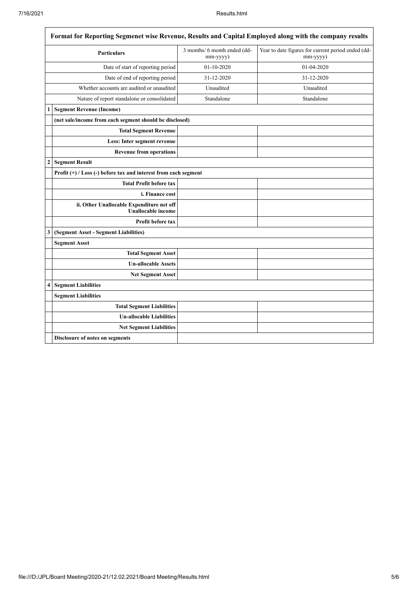$\overline{1}$ 

| Format for Reporting Segmenet wise Revenue, Results and Capital Employed along with the company results |                                                                        |                                          |                                                                |  |
|---------------------------------------------------------------------------------------------------------|------------------------------------------------------------------------|------------------------------------------|----------------------------------------------------------------|--|
| <b>Particulars</b>                                                                                      |                                                                        | 3 months/ 6 month ended (dd-<br>mm-yyyy) | Year to date figures for current period ended (dd-<br>mm-yyyy) |  |
| Date of start of reporting period                                                                       |                                                                        | $01 - 10 - 2020$                         | 01-04-2020                                                     |  |
| Date of end of reporting period                                                                         |                                                                        | 31-12-2020                               | 31-12-2020                                                     |  |
| Whether accounts are audited or unaudited                                                               |                                                                        | Unaudited                                | Unaudited                                                      |  |
|                                                                                                         | Nature of report standalone or consolidated                            | Standalone                               | Standalone                                                     |  |
|                                                                                                         | <b>Segment Revenue (Income)</b>                                        |                                          |                                                                |  |
|                                                                                                         | (net sale/income from each segment should be disclosed)                |                                          |                                                                |  |
|                                                                                                         | <b>Total Segment Revenue</b>                                           |                                          |                                                                |  |
|                                                                                                         | Less: Inter segment revenue                                            |                                          |                                                                |  |
|                                                                                                         | <b>Revenue from operations</b>                                         |                                          |                                                                |  |
| $\overline{c}$                                                                                          | <b>Segment Result</b>                                                  |                                          |                                                                |  |
|                                                                                                         | Profit $(+)$ / Loss $(-)$ before tax and interest from each segment    |                                          |                                                                |  |
|                                                                                                         | <b>Total Profit before tax</b>                                         |                                          |                                                                |  |
|                                                                                                         | <i>i.</i> Finance cost                                                 |                                          |                                                                |  |
|                                                                                                         | ii. Other Unallocable Expenditure net off<br><b>Unallocable income</b> |                                          |                                                                |  |
|                                                                                                         | <b>Profit before tax</b>                                               |                                          |                                                                |  |
| 3                                                                                                       | (Segment Asset - Segment Liabilities)                                  |                                          |                                                                |  |
|                                                                                                         | <b>Segment Asset</b>                                                   |                                          |                                                                |  |
|                                                                                                         | <b>Total Segment Asset</b>                                             |                                          |                                                                |  |
|                                                                                                         | <b>Un-allocable Assets</b>                                             |                                          |                                                                |  |
|                                                                                                         | <b>Net Segment Asset</b>                                               |                                          |                                                                |  |
| $\overline{\mathbf{4}}$                                                                                 | <b>Segment Liabilities</b>                                             |                                          |                                                                |  |
|                                                                                                         | <b>Segment Liabilities</b>                                             |                                          |                                                                |  |
|                                                                                                         | <b>Total Segment Liabilities</b>                                       |                                          |                                                                |  |
|                                                                                                         | <b>Un-allocable Liabilities</b>                                        |                                          |                                                                |  |
|                                                                                                         | <b>Net Segment Liabilities</b>                                         |                                          |                                                                |  |
|                                                                                                         | Disclosure of notes on segments                                        |                                          |                                                                |  |